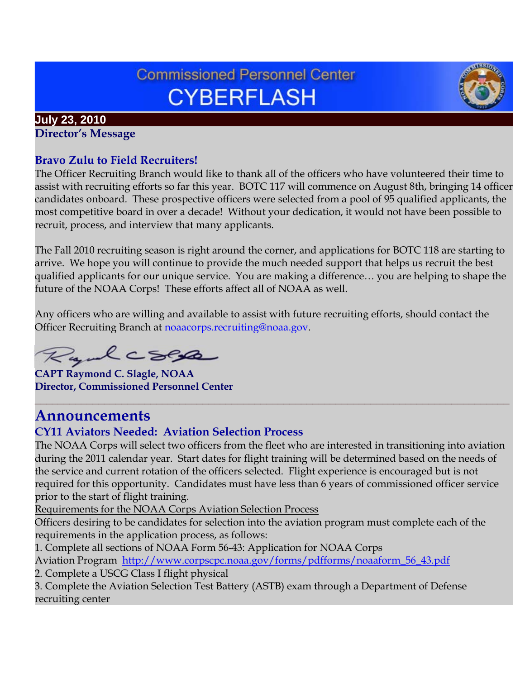# **Commissioned Personnel Center CYBERFLASH**



#### **July 23, 2010 Director's Message**

# **Bravo Zulu to Field Recruiters!**

The Officer Recruiting Branch would like to thank all of the officers who have volunteered their time to assist with recruiting efforts so far this year. BOTC 117 will commence on August 8th, bringing 14 officer candidates onboard. These prospective officers were selected from a pool of 95 qualified applicants, the most competitive board in over a decade! Without your dedication, it would not have been possible to recruit, process, and interview that many applicants.

The Fall 2010 recruiting season is right around the corner, and applications for BOTC 118 are starting to arrive. We hope you will continue to provide the much needed support that helps us recruit the best qualified applicants for our unique service. You are making a difference… you are helping to shape the future of the NOAA Corps! These efforts affect all of NOAA as well.

Any officers who are willing and available to assist with future recruiting efforts, should contact the Officer Recruiting Branch at [noaacorps.recruiting@noaa.gov.](mailto:noaacorps.recruiting@noaa.gov)

Rydcsep

**CAPT Raymond C. Slagle, NOAA Director, Commissioned Personnel Center**

# **Announcements**

# **CY11 Aviators Needed: Aviation Selection Process**

The NOAA Corps will select two officers from the fleet who are interested in transitioning into aviation during the 2011 calendar year. Start dates for flight training will be determined based on the needs of the service and current rotation of the officers selected. Flight experience is encouraged but is not required for this opportunity. Candidates must have less than 6 years of commissioned officer service prior to the start of flight training.

**\_\_\_\_\_\_\_\_\_\_\_\_\_\_\_\_\_\_\_\_\_\_\_\_\_\_\_\_\_\_\_\_\_\_\_\_\_\_\_\_\_\_\_\_\_\_\_\_\_\_\_\_\_\_\_\_\_\_\_\_\_\_\_\_\_\_\_\_\_\_\_\_\_\_\_\_\_\_\_\_\_\_**

Requirements for the NOAA Corps Aviation Selection Process

Officers desiring to be candidates for selection into the aviation program must complete each of the requirements in the application process, as follows:

1. Complete all sections of NOAA Form 56-43: Application for NOAA Corps

Aviation Program [http://www.corpscpc.noaa.gov/forms/pdfforms/noaaform\\_56\\_43.pdf](http://www.corpscpc.noaa.gov/forms/pdfforms/noaaform_56_43.pdf)

2. Complete a USCG Class I flight physical

3. Complete the Aviation Selection Test Battery (ASTB) exam through a Department of Defense recruiting center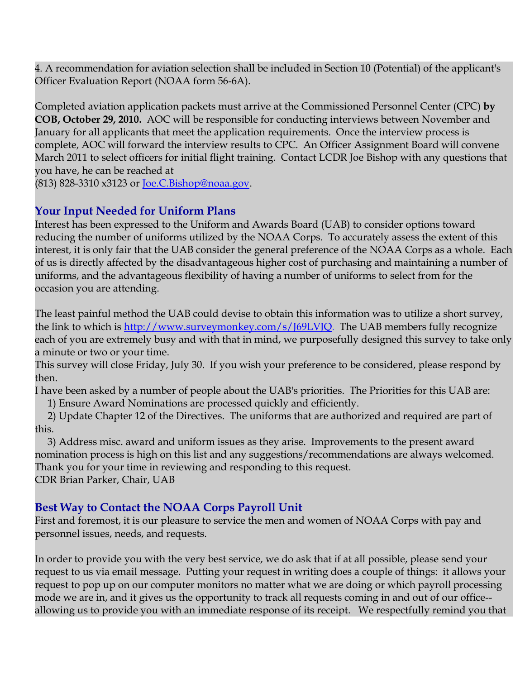4. A recommendation for aviation selection shall be included in Section 10 (Potential) of the applicant's Officer Evaluation Report (NOAA form 56-6A).

Completed aviation application packets must arrive at the Commissioned Personnel Center (CPC) **by COB, October 29, 2010.** AOC will be responsible for conducting interviews between November and January for all applicants that meet the application requirements. Once the interview process is complete, AOC will forward the interview results to CPC. An Officer Assignment Board will convene March 2011 to select officers for initial flight training. Contact LCDR Joe Bishop with any questions that you have, he can be reached at

(813) 828-3310 x3123 or [Joe.C.Bishop@noaa.gov.](mailto:Joe.C.Bishop@noaa.gov)

## **Your Input Needed for Uniform Plans**

Interest has been expressed to the Uniform and Awards Board (UAB) to consider options toward reducing the number of uniforms utilized by the NOAA Corps. To accurately assess the extent of this interest, it is only fair that the UAB consider the general preference of the NOAA Corps as a whole. Each of us is directly affected by the disadvantageous higher cost of purchasing and maintaining a number of uniforms, and the advantageous flexibility of having a number of uniforms to select from for the occasion you are attending.

The least painful method the UAB could devise to obtain this information was to utilize a short survey, the link to which is [http://www.surveymonkey.com/s/J69LVJQ.](http://www.surveymonkey.com/s/J69LVJQ) The UAB members fully recognize each of you are extremely busy and with that in mind, we purposefully designed this survey to take only a minute or two or your time.

This survey will close Friday, July 30. If you wish your preference to be considered, please respond by then.

I have been asked by a number of people about the UAB's priorities. The Priorities for this UAB are:

1) Ensure Award Nominations are processed quickly and efficiently.

 2) Update Chapter 12 of the Directives. The uniforms that are authorized and required are part of this.

 3) Address misc. award and uniform issues as they arise. Improvements to the present award nomination process is high on this list and any suggestions/recommendations are always welcomed. Thank you for your time in reviewing and responding to this request. CDR Brian Parker, Chair, UAB

### **Best Way to Contact the NOAA Corps Payroll Unit**

First and foremost, it is our pleasure to service the men and women of NOAA Corps with pay and personnel issues, needs, and requests.

In order to provide you with the very best service, we do ask that if at all possible, please send your request to us via email message. Putting your request in writing does a couple of things: it allows your request to pop up on our computer monitors no matter what we are doing or which payroll processing mode we are in, and it gives us the opportunity to track all requests coming in and out of our office- allowing us to provide you with an immediate response of its receipt. We respectfully remind you that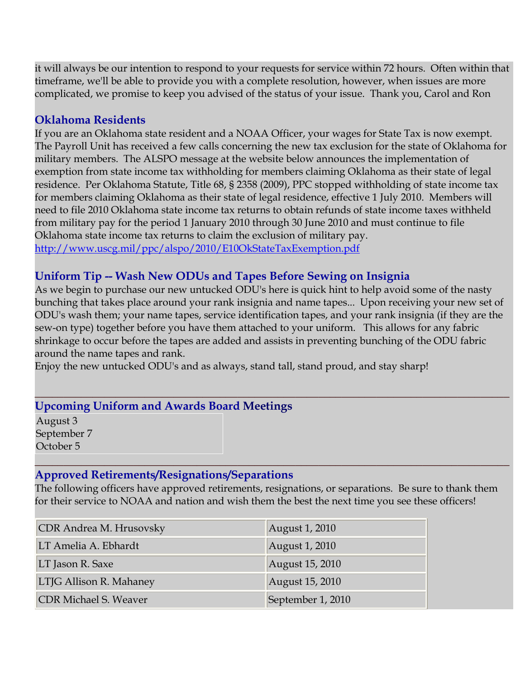it will always be our intention to respond to your requests for service within 72 hours. Often within that timeframe, we'll be able to provide you with a complete resolution, however, when issues are more complicated, we promise to keep you advised of the status of your issue. Thank you, Carol and Ron

#### **Oklahoma Residents**

If you are an Oklahoma state resident and a NOAA Officer, your wages for State Tax is now exempt. The Payroll Unit has received a few calls concerning the new tax exclusion for the state of Oklahoma for military members. The ALSPO message at the website below announces the implementation of exemption from state income tax withholding for members claiming Oklahoma as their state of legal residence. Per Oklahoma Statute, Title 68, § 2358 (2009), PPC stopped withholding of state income tax for members claiming Oklahoma as their state of legal residence, effective 1 July 2010. Members will need to file 2010 Oklahoma state income tax returns to obtain refunds of state income taxes withheld from military pay for the period 1 January 2010 through 30 June 2010 and must continue to file Oklahoma state income tax returns to claim the exclusion of military pay.

<http://www.uscg.mil/ppc/alspo/2010/E10OkStateTaxExemption.pdf>

### **Uniform Tip -- Wash New ODUs and Tapes Before Sewing on Insignia**

As we begin to purchase our new untucked ODU's here is quick hint to help avoid some of the nasty bunching that takes place around your rank insignia and name tapes... Upon receiving your new set of ODU's wash them; your name tapes, service identification tapes, and your rank insignia (if they are the sew-on type) together before you have them attached to your uniform. This allows for any fabric shrinkage to occur before the tapes are added and assists in preventing bunching of the ODU fabric around the name tapes and rank.

Enjoy the new untucked ODU's and as always, stand tall, stand proud, and stay sharp!

#### **\_\_\_\_\_\_\_\_\_\_\_\_\_\_\_\_\_\_\_\_\_\_\_\_\_\_\_\_\_\_\_\_\_\_\_\_\_\_\_\_\_\_\_\_\_\_\_\_\_\_\_\_\_\_\_\_\_\_\_\_\_\_\_\_\_\_\_\_\_\_\_\_\_\_\_\_\_\_\_\_\_\_ Upcoming Uniform and Awards Board Meetings**

August 3 September 7 October 5

#### **Approved Retirements/Resignations/Separations**

The following officers have approved retirements, resignations, or separations. Be sure to thank them for their service to NOAA and nation and wish them the best the next time you see these officers!

**\_\_\_\_\_\_\_\_\_\_\_\_\_\_\_\_\_\_\_\_\_\_\_\_\_\_\_\_\_\_\_\_\_\_\_\_\_\_\_\_\_\_\_\_\_\_\_\_\_\_\_\_\_\_\_\_\_\_\_\_\_\_\_\_\_\_\_\_\_\_\_\_\_\_\_\_\_\_\_\_\_\_**

| CDR Andrea M. Hrusovsky      | August 1, 2010    |
|------------------------------|-------------------|
| LT Amelia A. Ebhardt         | August 1, 2010    |
| LT Jason R. Saxe             | August 15, 2010   |
| LTJG Allison R. Mahaney      | August 15, 2010   |
| <b>CDR Michael S. Weaver</b> | September 1, 2010 |